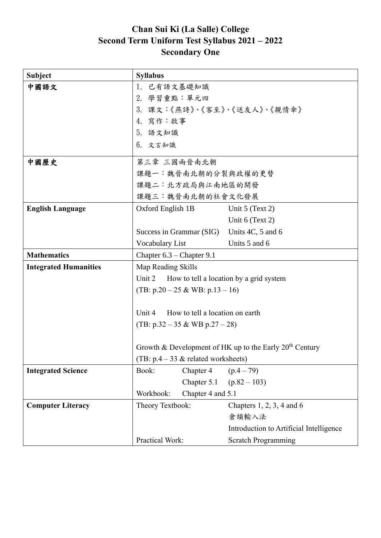## **Chan Sui Ki (La Salle) College Second Term Uniform Test Syllabus 2021 – 2022 Secondary One**

| <b>Subject</b>               | <b>Syllabus</b>                                                                                    |                          |                                         |
|------------------------------|----------------------------------------------------------------------------------------------------|--------------------------|-----------------------------------------|
| 中國語文                         | 1. 已有語文基礎知識                                                                                        |                          |                                         |
|                              | 2. 學習重點:單元四                                                                                        |                          |                                         |
|                              | 3. 課文:《燕詩》、《客至》、《送友人》、《親情傘》                                                                        |                          |                                         |
|                              | 4. 寫作:啟事                                                                                           |                          |                                         |
|                              | 5. 語文知識                                                                                            |                          |                                         |
|                              | $6.$ 文言知識                                                                                          |                          |                                         |
| 中國歷史                         | 第三章 三國兩晉南北朝                                                                                        |                          |                                         |
|                              | 課題一:魏晉南北朝的分裂與政權的更替                                                                                 |                          |                                         |
|                              | 課題二:北方政局與江南地區的開發                                                                                   |                          |                                         |
|                              | 課題三:魏晉南北朝的社會文化發展                                                                                   |                          |                                         |
| <b>English Language</b>      | Oxford English 1B                                                                                  |                          | Unit $5$ (Text 2)                       |
|                              |                                                                                                    |                          | Unit 6 (Text 2)                         |
|                              |                                                                                                    | Success in Grammar (SIG) | Units 4C, 5 and 6                       |
|                              | Vocabulary List                                                                                    |                          | Units 5 and 6                           |
| <b>Mathematics</b>           | Chapter $6.3$ – Chapter 9.1                                                                        |                          |                                         |
| <b>Integrated Humanities</b> | Map Reading Skills                                                                                 |                          |                                         |
|                              | Unit 2<br>How to tell a location by a grid system                                                  |                          |                                         |
|                              | (TB: $p.20 - 25 \& \text{WB: } p.13 - 16$ )                                                        |                          |                                         |
|                              |                                                                                                    |                          |                                         |
|                              | Unit 4<br>How to tell a location on earth                                                          |                          |                                         |
|                              | (TB: $p.32 - 35 \& \text{WB } p.27 - 28$ )                                                         |                          |                                         |
|                              |                                                                                                    |                          |                                         |
|                              | Growth & Development of HK up to the Early $20th$ Century<br>(TB: $p.4 - 33$ & related worksheets) |                          |                                         |
|                              |                                                                                                    |                          |                                         |
| <b>Integrated Science</b>    | Book:                                                                                              | Chapter 4                | $(p.4 - 79)$                            |
|                              |                                                                                                    | Chapter 5.1              | $(p.82 - 103)$                          |
|                              | Workbook:                                                                                          | Chapter 4 and 5.1        |                                         |
| <b>Computer Literacy</b>     | Theory Textbook:                                                                                   |                          | Chapters $1, 2, 3, 4$ and $6$           |
|                              |                                                                                                    |                          | 倉頡輸入法                                   |
|                              |                                                                                                    |                          | Introduction to Artificial Intelligence |
|                              | Practical Work:                                                                                    |                          | <b>Scratch Programming</b>              |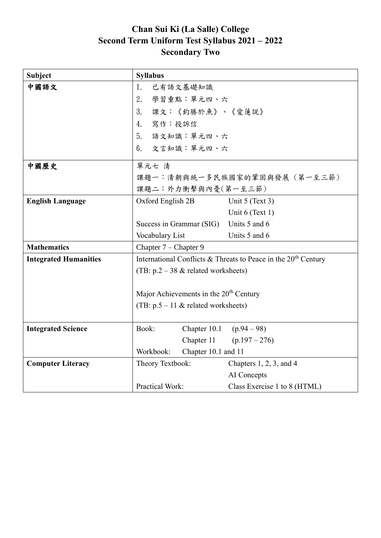## **Chan Sui Ki (La Salle) College Second Term Uniform Test Syllabus 2021 – 2022 Secondary Two**

| <b>Subject</b>               | <b>Syllabus</b>                                                            |  |  |
|------------------------------|----------------------------------------------------------------------------|--|--|
| 中國語文                         | 1.<br>已有語文基礎知識                                                             |  |  |
|                              | 2.<br>學習重點:單元四、六                                                           |  |  |
|                              | 課文:《釣勝於魚》、《愛蓮說》<br>3.                                                      |  |  |
|                              | 4. 寫作:投訴信                                                                  |  |  |
|                              | 5. 語文知識:單元四、六                                                              |  |  |
|                              | 6. 文言知識:單元四、六                                                              |  |  |
| 中國歷史                         | 單元七 清                                                                      |  |  |
|                              | 課題一:清朝與統一多民族國家的鞏固與發展 (第一至三節)<br>課題二:外力衝擊與內憂(第一至三節)                         |  |  |
|                              |                                                                            |  |  |
| <b>English Language</b>      | Oxford English 2B<br>Unit 5 (Text 3)                                       |  |  |
|                              | Unit 6 (Text 1)                                                            |  |  |
|                              | Units 5 and 6<br>Success in Grammar (SIG)                                  |  |  |
|                              | Units 5 and 6<br>Vocabulary List                                           |  |  |
| <b>Mathematics</b>           | Chapter 7 - Chapter 9                                                      |  |  |
| <b>Integrated Humanities</b> | International Conflicts & Threats to Peace in the 20 <sup>th</sup> Century |  |  |
|                              | (TB: $p.2 - 38$ & related worksheets)                                      |  |  |
|                              |                                                                            |  |  |
|                              | Major Achievements in the 20 <sup>th</sup> Century                         |  |  |
|                              | (TB: $p.5 - 11$ & related worksheets)                                      |  |  |
|                              |                                                                            |  |  |
| <b>Integrated Science</b>    | Chapter 10.1 $(p.94 - 98)$<br>Book:                                        |  |  |
|                              | Chapter 11 $(p.197 - 276)$                                                 |  |  |
|                              | Workbook:<br>Chapter 10.1 and 11                                           |  |  |
| <b>Computer Literacy</b>     | Theory Textbook:<br>Chapters $1, 2, 3$ , and $4$                           |  |  |
|                              | AI Concepts                                                                |  |  |
|                              | Practical Work:<br>Class Exercise 1 to 8 (HTML)                            |  |  |